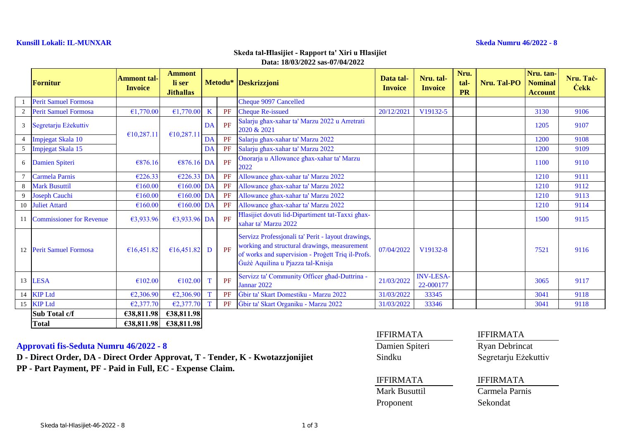### **Kunsill Lokali: IL-MUNXAR Skeda Numru 46/2022 - 8**

### **Data: 18/03/2022 sas-07/04/2022 Skeda tal-Ħlasijiet - Rapport ta' Xiri u Ħlasijiet**

|                | Fornitur                    | Ammont tal-<br><b>Invoice</b> | <b>Ammont</b><br>li ser<br><b>Jithallas</b> |         |    | Metodu* Deskrizzjoni                                                                                                                                                                         | Data tal-<br><b>Invoice</b> | Nru. tal-<br><b>Invoice</b>   | Nru.<br>tal-<br><b>PR</b> | <b>Nru. Tal-PO</b> | Nru. tan-<br><b>Nominal</b><br><b>Account</b> | Nru. Tač-<br><b>Cekk</b> |
|----------------|-----------------------------|-------------------------------|---------------------------------------------|---------|----|----------------------------------------------------------------------------------------------------------------------------------------------------------------------------------------------|-----------------------------|-------------------------------|---------------------------|--------------------|-----------------------------------------------|--------------------------|
|                | <b>Perit Samuel Formosa</b> |                               |                                             |         |    | <b>Cheque 9097 Cancelled</b>                                                                                                                                                                 |                             |                               |                           |                    |                                               |                          |
| 2              | <b>Perit Samuel Formosa</b> | €1,770.00                     | €1,770.00                                   | $\bf K$ | PF | <b>Cheque Re-issued</b>                                                                                                                                                                      | 20/12/2021                  | V <sub>19132-5</sub>          |                           |                    | 3130                                          | 9106                     |
| 3              | Segretarju Eżekuttiv        | €10,287.11                    |                                             | DA      | PF | Salarju ghax-xahar ta' Marzu 2022 u Arretrati<br>2020 & 2021                                                                                                                                 |                             |                               |                           |                    | 1205                                          | 9107                     |
| $\overline{4}$ | Impjegat Skala 10           |                               | €10,287.11                                  | DA      | PF | Salarju ghax-xahar ta' Marzu 2022                                                                                                                                                            |                             |                               |                           |                    | 1200                                          | 9108                     |
| 5              | Impjegat Skala 15           |                               |                                             | DA      | PF | Salarju ghax-xahar ta' Marzu 2022                                                                                                                                                            |                             |                               |                           |                    | 1200                                          | 9109                     |
|                | 6 Damien Spiteri            | €876.16                       | $€876.16$ DA                                |         | PF | Onorarja u Allowance ghax-xahar ta' Marzu<br>2022                                                                                                                                            |                             |                               |                           |                    | 1100                                          | 9110                     |
|                | <b>Carmela Parnis</b>       | €226.33                       | $E226.33$ DA                                |         | PF | Allowance ghax-xahar ta' Marzu 2022                                                                                                                                                          |                             |                               |                           |                    | 1210                                          | 9111                     |
| 8              | <b>Mark Busuttil</b>        | €160.00                       | €160.00                                     | DA      | PF | Allowance ghax-xahar ta' Marzu 2022                                                                                                                                                          |                             |                               |                           |                    | 1210                                          | 9112                     |
| 9              | <b>Joseph Cauchi</b>        | €160.00                       | $€160.00$ DA                                |         | PF | Allowance ghax-xahar ta' Marzu 2022                                                                                                                                                          |                             |                               |                           |                    | 1210                                          | 9113                     |
| 10             | <b>Juliet Attard</b>        | €160.00                       | €160.00                                     | DA      | PF | Allowance ghax-xahar ta' Marzu 2022                                                                                                                                                          |                             |                               |                           |                    | 1210                                          | 9114                     |
|                | 11 Commissioner for Revenue | €3,933.96                     | €3,933.96 DA                                |         | PF | Hlasijiet dovuti lid-Dipartiment tat-Taxxi ghax-<br>xahar ta' Marzu 2022                                                                                                                     |                             |                               |                           |                    | 1500                                          | 9115                     |
|                | 12 Perit Samuel Formosa     | €16,451.82                    | €16,451.82                                  | D       | PF | Servizz Professjonali ta' Perit - layout drawings,<br>working and structural drawings, measurement<br>of works and supervision - Progett Triq il-Profs.<br>Gużè Aquilina u Pjazza tal-Knisja | 07/04/2022                  | V19132-8                      |                           |                    | 7521                                          | 9116                     |
| 13             | LESA                        | €102.00                       | €102.00                                     |         | PF | Servizz ta' Community Officer ghad-Duttrina -<br>Jannar 2022                                                                                                                                 | 21/03/2022                  | <b>INV-LESA-</b><br>22-000177 |                           |                    | 3065                                          | 9117                     |
|                | 14 KIP Ltd                  | €2,306.90                     | E2,306.90                                   |         | PF | Ġbir ta' Skart Domestiku - Marzu 2022                                                                                                                                                        | 31/03/2022                  | 33345                         |                           |                    | 3041                                          | 9118                     |
|                | 15 KIP Ltd                  | €2,377.70                     | E2,377.70                                   | T       | PF | Gbir ta' Skart Organiku - Marzu 2022                                                                                                                                                         | 31/03/2022                  | 33346                         |                           |                    | 3041                                          | 9118                     |
|                | Sub Total c/f               | €38,811.98                    | €38,811.98                                  |         |    |                                                                                                                                                                                              |                             |                               |                           |                    |                                               |                          |
|                | <b>Total</b>                | €38,811.98                    | €38,811.98                                  |         |    |                                                                                                                                                                                              |                             |                               |                           |                    |                                               |                          |

## **Approvati fis-Seduta Numru 46/2022 - 8** Damien Spiteri Ryan Debrincat

D - Direct Order, DA - Direct Order Approvat, T - Tender, K - Kwotazzjonijiet Sindku Segretarju Eżekuttiv **PP - Part Payment, PF - Paid in Full, EC - Expense Claim.**

| <b>IFFIRMATA</b> |  |  |  |  |  |  |  |  |
|------------------|--|--|--|--|--|--|--|--|
| Damien Spiteri   |  |  |  |  |  |  |  |  |
| Sindku           |  |  |  |  |  |  |  |  |

**IFFIRMATA** 

### IFFIRMATA IFFIRMATA

Mark Busuttil Carmela Parnis Proponent Sekondat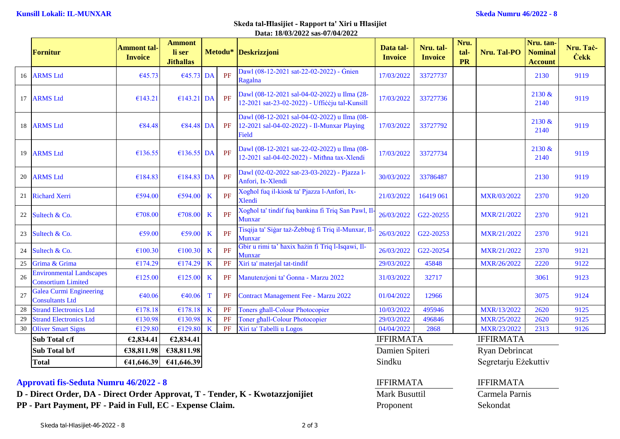### **Data: 18/03/2022 sas-07/04/2022 Skeda tal-Ħlasijiet - Rapport ta' Xiri u Ħlasijiet**

|    | <b>Fornitur</b>                                              | <b>Ammont tal-</b><br><b>Invoice</b> | Ammont<br>li ser<br><b>Jithallas</b> |             |                | Metodu* Deskrizzjoni                                                                                 | Data tal-<br><b>Invoice</b> | Nru. tal-<br><b>Invoice</b> | Nru.<br>tal-<br><b>PR</b> | Nru. Tal-PO                | Nru. tan-<br><b>Nominal</b><br><b>Account</b> | Nru. Tač-<br><b>Cekk</b> |
|----|--------------------------------------------------------------|--------------------------------------|--------------------------------------|-------------|----------------|------------------------------------------------------------------------------------------------------|-----------------------------|-----------------------------|---------------------------|----------------------------|-----------------------------------------------|--------------------------|
|    | 16 ARMS Ltd                                                  | €45.73                               | €45.73 DA                            |             | PF             | Dawl (08-12-2021 sat-22-02-2022) - Gnien<br>Ragalna                                                  | 17/03/2022                  | 33727737                    |                           |                            | 2130                                          | 9119                     |
| 17 | <b>ARMS Ltd</b>                                              | €143.21                              | $£143.21$ DA                         |             | PF             | Dawl (08-12-2021 sal-04-02-2022) u Ilma (28-<br>12-2021 sat-23-02-2022) - Ufficcju tal-Kunsill       | 17/03/2022                  | 33727736                    |                           |                            | 2130 &<br>2140                                | 9119                     |
| 18 | <b>ARMS Ltd</b>                                              | €84.48                               | €84.48 DA                            |             | PF             | Dawl (08-12-2021 sal-04-02-2022) u Ilma (08-<br>12-2021 sal-04-02-2022) - Il-Munxar Playing<br>Field | 17/03/2022                  | 33727792                    |                           |                            | 2130 &<br>2140                                | 9119                     |
| 19 | <b>ARMS Ltd</b>                                              | €136.55                              | €136.55 DA                           |             | PF             | Dawl (08-12-2021 sat-22-02-2022) u Ilma (08-<br>12-2021 sal-04-02-2022) - Mithna tax-Xlendi          | 17/03/2022                  | 33727734                    |                           |                            | 2130 &<br>2140                                | 9119                     |
| 20 | <b>ARMS Ltd</b>                                              | €184.83                              | €184.83 DA                           |             | PF             | Dawl (02-02-2022 sat-23-03-2022) - Pjazza l-<br>Anfori, Ix-Xlendi                                    | 30/03/2022                  | 33786487                    |                           |                            | 2130                                          | 9119                     |
| 21 | <b>Richard Xerri</b>                                         | €594.00                              | €594.00                              | $\bf K$     | PF             | Xoghol fuq il-kiosk ta' Pjazza l-Anfori, Ix-<br><b>Xlendi</b>                                        | 21/03/2022                  | 16419 061                   |                           | MXR/03/2022                | 2370                                          | 9120                     |
| 22 | Sultech & Co.                                                | €708.00                              | €708.00                              | $\bf K$     | PF             | Xoghol ta' tindif fuq bankina fi Triq San Pawl, Il<br><b>Munxar</b>                                  | 26/03/2022                  | G <sub>22</sub> -20255      |                           | MXR/21/2022                | 2370                                          | 9121                     |
| 23 | Sultech & Co.                                                | €59.00                               | €59.00                               | $\bf K$     | PF             | Tisqija ta' Siġar taż-Żebbuġ fi Triq il-Munxar, Il<br><b>Munxar</b>                                  | 26/03/2022                  | G22-20253                   |                           | MXR/21/2022                | 2370                                          | 9121                     |
| 24 | Sultech & Co.                                                | €100.30                              | €100.30                              | $\bf K$     | PF             | Gbir u rimi ta' haxix hazin fi Triq l-Isqawi, Il-<br><b>Munxar</b>                                   | 26/03/2022                  | G22-20254                   |                           | MXR/21/2022                | 2370                                          | 9121                     |
| 25 | Grima & Grima                                                | €174.29                              | €174.29                              | $\mathbf K$ | PF             | Xiri ta' materjal tat-tindif                                                                         | 29/03/2022                  | 45848                       |                           | MXR/26/2022                | 2220                                          | 9122                     |
| 26 | <b>Environmental Landscapes</b><br><b>Consortium Limited</b> | €125.00                              | €125.00                              | $\bf K$     | PF             | Manutenzjoni ta' Gonna - Marzu 2022                                                                  | 31/03/2022                  | 32717                       |                           |                            | 3061                                          | 9123                     |
| 27 | <b>Galea Curmi Engineering</b><br><b>Consultants Ltd</b>     | €40.06                               | €40.06                               | $\mathbf T$ | PF             | <b>Contract Management Fee - Marzu 2022</b>                                                          | 01/04/2022                  | 12966                       |                           |                            | 3075                                          | 9124                     |
| 28 | <b>Strand Electronics Ltd</b>                                | €178.18                              | €178.18                              | $\mathbf K$ | PF             | <b>Toners ghall-Colour Photocopier</b>                                                               | 10/03/2022                  | 495946                      |                           | MXR/13/2022                | 2620                                          | 9125                     |
| 29 | <b>Strand Electronics Ltd</b>                                | €130.98                              | €130.98                              | $\bf K$     | PF             | <b>Toner ghall-Colour Photocopier</b>                                                                | 29/03/2022                  | 496846                      |                           | MXR/25/2022                | 2620                                          | 9125                     |
| 30 | <b>Oliver Smart Signs</b>                                    | €129.80                              | €129.80                              | $\mathbf K$ | PF             | Xiri ta' Tabelli u Logos                                                                             | 04/04/2022                  | 2868                        |                           | MXR/23/2022                | 2313                                          | 9126                     |
|    | Sub Total c/f                                                | €2,834.41                            | €2,834.41                            |             |                |                                                                                                      | <b>IFFIRMATA</b>            |                             |                           | <b>IFFIRMATA</b>           |                                               |                          |
|    | Sub Total b/f                                                | €38,811.98<br>€38,811.98             |                                      |             | Damien Spiteri |                                                                                                      |                             | <b>Ryan Debrincat</b>       |                           |                            |                                               |                          |
|    | <b>Total</b>                                                 | €41,646.39                           | €41,646.39                           |             |                |                                                                                                      | Sindku                      |                             |                           | Segretarju Eżekuttiv       |                                               |                          |
|    |                                                              |                                      |                                      |             |                |                                                                                                      | .                           |                             |                           | <b>TERESTED 3</b> 2 3 25 3 |                                               |                          |

# **Approvati fis-Seduta Numru 46/2022 - 8** IFFIRMATA IFFIRMATA IFFIRMATA

**D** - Direct Order, DA - Direct Order Approvat, T - Tender, K - Kwotazzjonijiet Mark Busuttil Carmela Parnis

PP - Part Payment, PF - Paid in Full, EC - Expense Claim. Proponent Proponent Sekondat

| RMATA      | <b>IFFIRM</b> |
|------------|---------------|
| k Busuttil | Carme         |
| onent      | Sekono        |